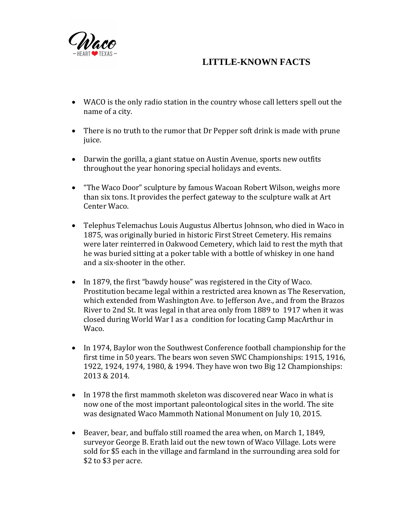

## **LITTLE-KNOWN FACTS**

- WACO is the only radio station in the country whose call letters spell out the name of a city.
- There is no truth to the rumor that Dr Pepper soft drink is made with prune juice.
- Darwin the gorilla, a giant statue on Austin Avenue, sports new outfits throughout the year honoring special holidays and events.
- "The Waco Door" sculpture by famous Wacoan Robert Wilson, weighs more than six tons. It provides the perfect gateway to the sculpture walk at Art Center Waco.
- Telephus Telemachus Louis Augustus Albertus Johnson, who died in Waco in 1875, was originally buried in historic First Street Cemetery. His remains were later reinterred in Oakwood Cemetery, which laid to rest the myth that he was buried sitting at a poker table with a bottle of whiskey in one hand and a six-shooter in the other.
- In 1879, the first "bawdy house" was registered in the City of Waco. Prostitution became legal within a restricted area known as The Reservation, which extended from Washington Ave. to Jefferson Ave., and from the Brazos River to 2nd St. It was legal in that area only from 1889 to 1917 when it was closed during World War I as a condition for locating Camp MacArthur in Waco.
- In 1974, Baylor won the Southwest Conference football championship for the first time in 50 years. The bears won seven SWC Championships: 1915, 1916, 1922, 1924, 1974, 1980, & 1994. They have won two Big 12 Championships: 2013 & 2014.
- In 1978 the first mammoth skeleton was discovered near Waco in what is now one of the most important paleontological sites in the world. The site was designated Waco Mammoth National Monument on July 10, 2015.
- Beaver, bear, and buffalo still roamed the area when, on March 1, 1849, surveyor George B. Erath laid out the new town of Waco Village. Lots were sold for \$5 each in the village and farmland in the surrounding area sold for \$2 to \$3 per acre.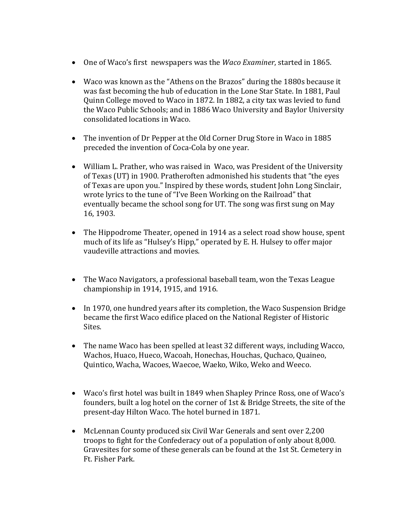- One of Waco's first newspapers was the *Waco Examiner*, started in 1865.
- Waco was known as the "Athens on the Brazos" during the 1880s because it was fast becoming the hub of education in the Lone Star State. In 1881, Paul Quinn College moved to Waco in 1872. In 1882, a city tax was levied to fund the Waco Public Schools; and in 1886 Waco University and Baylor University consolidated locations in Waco.
- The invention of Dr Pepper at the Old Corner Drug Store in Waco in 1885 preceded the invention of Coca-Cola by one year.
- William L. Prather, who was raised in Waco, was President of the University of Texas (UT) in 1900. Pratheroften admonished his students that "the eyes of Texas are upon you." Inspired by these words, student John Long Sinclair, wrote lyrics to the tune of "I've Been Working on the Railroad" that eventually became the school song for UT. The song was first sung on May 16, 1903.
- The Hippodrome Theater, opened in 1914 as a select road show house, spent much of its life as "Hulsey's Hipp," operated by E. H. Hulsey to offer major vaudeville attractions and movies.
- The Waco Navigators, a professional baseball team, won the Texas League championship in 1914, 1915, and 1916.
- In 1970, one hundred years after its completion, the Waco Suspension Bridge became the first Waco edifice placed on the National Register of Historic Sites.
- The name Waco has been spelled at least 32 different ways, including Wacco, Wachos, Huaco, Hueco, Wacoah, Honechas, Houchas, Quchaco, Quaineo, Quintico, Wacha, Wacoes, Waecoe, Waeko, Wiko, Weko and Weeco.
- Waco's first hotel was built in 1849 when Shapley Prince Ross, one of Waco's founders, built a log hotel on the corner of 1st & Bridge Streets, the site of the present-day Hilton Waco. The hotel burned in 1871.
- McLennan County produced six Civil War Generals and sent over 2,200 troops to fight for the Confederacy out of a population of only about 8,000. Gravesites for some of these generals can be found at the 1st St. Cemetery in Ft. Fisher Park.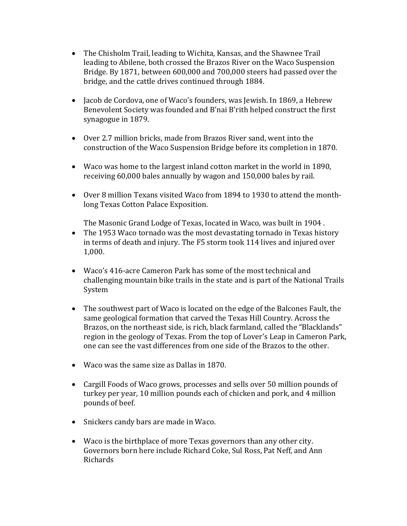- The Chisholm Trail, leading to Wichita, Kansas, and the Shawnee Trail leading to Abilene, both crossed the Brazos River on the Waco Suspension Bridge. By 1871, between 600,000 and 700,000 steers had passed over the bridge, and the cattle drives continued through 1884.
- Jacob de Cordova, one of Waco's founders, was Jewish. In 1869, a Hebrew Benevolent Society was founded and B'nai B'rith helped construct the first synagogue in 1879.
- Over 2.7 million bricks, made from Brazos River sand, went into the construction of the Waco Suspension Bridge before its completion in 1870.
- Waco was home to the largest inland cotton market in the world in 1890, receiving 60,000 bales annually by wagon and 150,000 bales by rail.
- Over 8 million Texans visited Waco from 1894 to 1930 to attend the monthlong Texas Cotton Palace Exposition.

The Masonic Grand Lodge of Texas, located in Waco, was built in 1904 .

- The 1953 Waco tornado was the most devastating tornado in Texas history in terms of death and injury. The F5 storm took 114 lives and injured over 1,000.
- Waco's 416-acre Cameron Park has some of the most technical and challenging mountain bike trails in the state and is part of the National Trails System
- The southwest part of Waco is located on the edge of the Balcones Fault, the same geological formation that carved the Texas Hill Country. Across the Brazos, on the northeast side, is rich, black farmland, called the "Blacklands" region in the geology of Texas. From the top of Lover's Leap in Cameron Park, one can see the vast differences from one side of the Brazos to the other.
- Waco was the same size as Dallas in 1870.
- Cargill Foods of Waco grows, processes and sells over 50 million pounds of turkey per year, 10 million pounds each of chicken and pork, and 4 million pounds of beef.
- Snickers candy bars are made in Waco.
- Waco is the birthplace of more Texas governors than any other city. Governors born here include Richard Coke, Sul Ross, Pat Neff, and Ann Richards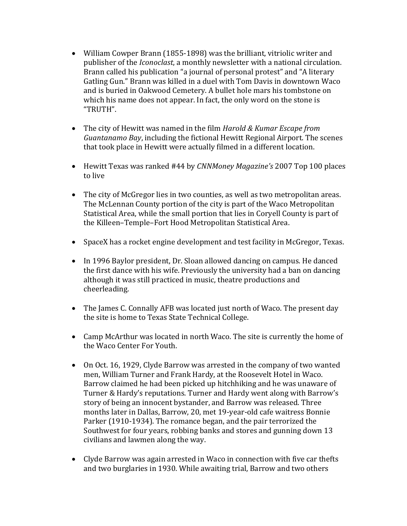- William Cowper Brann (1855-1898) was the brilliant, vitriolic writer and publisher of the *Iconoclast*, a monthly newsletter with a national circulation. Brann called his publication "a journal of personal protest" and "A literary Gatling Gun." Brann was killed in a duel with Tom Davis in downtown Waco and is buried in Oakwood Cemetery. A bullet hole mars his tombstone on which his name does not appear. In fact, the only word on the stone is "TRUTH".
- The city of Hewitt was named in the film *[Harold & Kumar Escape from](http://en.wikipedia.org/wiki/Harold_%26_Kumar_Escape_from_Guantanamo_Bay)  [Guantanamo Bay](http://en.wikipedia.org/wiki/Harold_%26_Kumar_Escape_from_Guantanamo_Bay)*, including the fictional Hewitt Regional Airport. The scenes that took place in Hewitt were actually filmed in a different location.
- Hewitt Texas was ranked #44 by *CNNMoney Magazine's* 2007 Top 100 places to live
- The city of McGregor lies in two counties, as well as two metropolitan areas. The McLennan County portion of the city is part of the [Waco](http://en.wikipedia.org/wiki/Waco,_Texas) [Metropolitan](http://en.wikipedia.org/wiki/Waco_metropolitan_area)  [Statistical Area,](http://en.wikipedia.org/wiki/Waco_metropolitan_area) while the small portion that lies in Coryell County is part of the [Killeen](http://en.wikipedia.org/wiki/Killeen,_Texas)–[Temple](http://en.wikipedia.org/wiki/Temple,_Texas)–[Fort Hood](http://en.wikipedia.org/wiki/Fort_Hood) [Metropolitan Statistical Area.](http://en.wikipedia.org/wiki/Killeen-Temple-Fort_Hood_metropolitan_area)
- [SpaceX](http://en.wikipedia.org/wiki/SpaceX) has a [rocket engine](http://en.wikipedia.org/wiki/Rocket_engine) [development](http://en.wikipedia.org/wiki/New_product_development) and [test](http://en.wikipedia.org/wiki/Rocket_engine_test_facility) facility in McGregor, Texas.
- In 1996 Baylor president, Dr. Sloan allowed dancing on campus. He danced the first dance with his wife. Previously the university had a ban on dancing although it was still practiced in music, theatre productions and cheerleading.
- The James C. Connally AFB was located just north of Waco. The present day the site is home to Texas State Technical College.
- Camp McArthur was located in north Waco. The site is currently the home of the Waco Center For Youth.
- On Oct. 16, 1929, Clyde Barrow was arrested in the company of two wanted men, William Turner and Frank Hardy, at the Roosevelt Hotel in Waco. Barrow claimed he had been picked up hitchhiking and he was unaware of Turner & Hardy's reputations. Turner and Hardy went along with Barrow's story of being an innocent bystander, and Barrow was released. Three months later in Dallas, Barrow, 20, met 19-year-old cafe waitress Bonnie Parker (1910-1934). The romance began, and the pair terrorized the Southwest for four years, robbing banks and stores and gunning down 13 civilians and lawmen along the way.
- Clyde Barrow was again arrested in Waco in connection with five car thefts and two burglaries in 1930. While awaiting trial, Barrow and two others